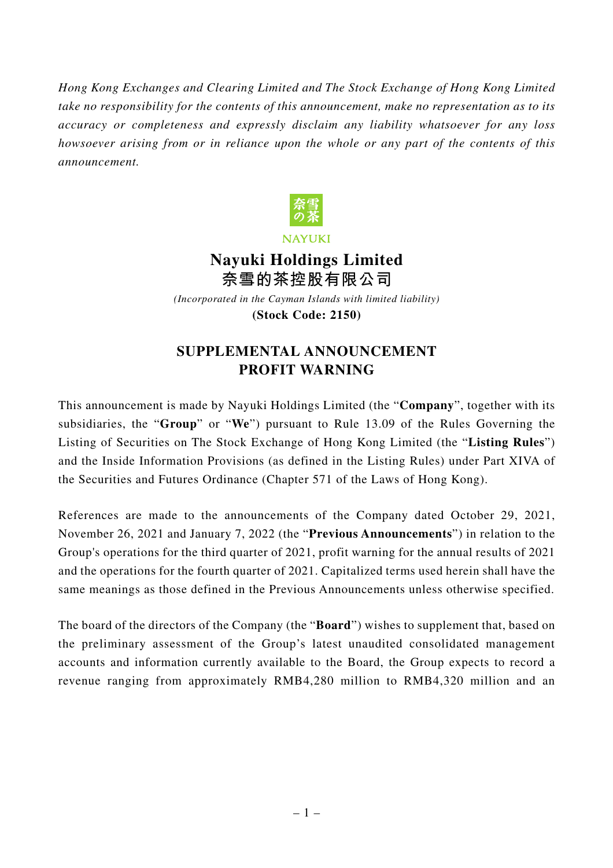*Hong Kong Exchanges and Clearing Limited and The Stock Exchange of Hong Kong Limited take no responsibility for the contents of this announcement, make no representation as to its accuracy or completeness and expressly disclaim any liability whatsoever for any loss howsoever arising from or in reliance upon the whole or any part of the contents of this announcement.*



**NAYUKI** 

## **Nayuki Holdings Limited 奈雪的茶控股有限公司**

*(Incorporated in the Cayman Islands with limited liability)* **(Stock Code: 2150)**

## **SUPPLEMENTAL ANNOUNCEMENT PROFIT WARNING**

This announcement is made by Nayuki Holdings Limited (the "**Company**", together with its subsidiaries, the "**Group**" or "**We**") pursuant to Rule 13.09 of the Rules Governing the Listing of Securities on The Stock Exchange of Hong Kong Limited (the "**Listing Rules**") and the Inside Information Provisions (as defined in the Listing Rules) under Part XIVA of the Securities and Futures Ordinance (Chapter 571 of the Laws of Hong Kong).

References are made to the announcements of the Company dated October 29, 2021, November 26, 2021 and January 7, 2022 (the "**Previous Announcements**") in relation to the Group's operations for the third quarter of 2021, profit warning for the annual results of 2021 and the operations for the fourth quarter of 2021. Capitalized terms used herein shall have the same meanings as those defined in the Previous Announcements unless otherwise specified.

The board of the directors of the Company (the "**Board**") wishes to supplement that, based on the preliminary assessment of the Group's latest unaudited consolidated management accounts and information currently available to the Board, the Group expects to record a revenue ranging from approximately RMB4,280 million to RMB4,320 million and an